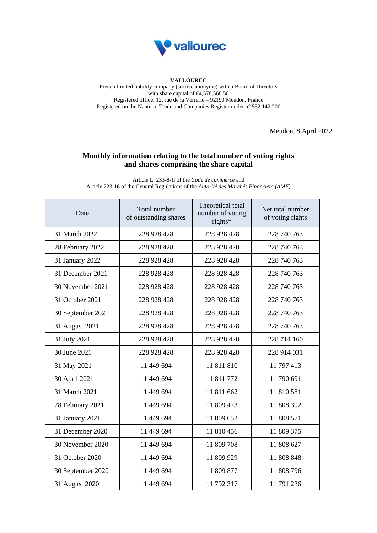

## **VALLOUREC**

French limited liability company (société anonyme) with a Board of Directors with share capital of  $64,578,568.56$ Registered office: 12, rue de la Verrerie – 92190 Meudon, France Registered on the Nanterre Trade and Companies Register under n° 552 142 200

Meudon, 8 April 2022

## **Monthly information relating to the total number of voting rights and shares comprising the share capital**

Article L. 233-8-II of the *Code de commerce* and Article 223-16 of the General Regulations of the *Autorité des Marchés Financiers (AMF)*

| Date              | Total number<br>of outstanding shares | Theoretical total<br>number of voting<br>rights* | Net total number<br>of voting rights |
|-------------------|---------------------------------------|--------------------------------------------------|--------------------------------------|
| 31 March 2022     | 228 928 428                           | 228 928 428                                      | 228 740 763                          |
| 28 February 2022  | 228 928 428                           | 228 928 428                                      | 228 740 763                          |
| 31 January 2022   | 228 928 428                           | 228 928 428                                      | 228 740 763                          |
| 31 December 2021  | 228 928 428                           | 228 928 428                                      | 228 740 763                          |
| 30 November 2021  | 228 928 428                           | 228 928 428                                      | 228 740 763                          |
| 31 October 2021   | 228 928 428                           | 228 928 428                                      | 228 740 763                          |
| 30 September 2021 | 228 928 428                           | 228 928 428                                      | 228 740 763                          |
| 31 August 2021    | 228 928 428                           | 228 928 428                                      | 228 740 763                          |
| 31 July 2021      | 228 928 428                           | 228 928 428                                      | 228 714 160                          |
| 30 June 2021      | 228 928 428                           | 228 928 428                                      | 228 914 031                          |
| 31 May 2021       | 11 449 694                            | 11 811 810                                       | 11 797 413                           |
| 30 April 2021     | 11 449 694                            | 11 811 772                                       | 11 790 691                           |
| 31 March 2021     | 11 449 694                            | 11 811 662                                       | 11 810 581                           |
| 28 February 2021  | 11 449 694                            | 11 809 473                                       | 11 808 392                           |
| 31 January 2021   | 11 449 694                            | 11 809 652                                       | 11 808 571                           |
| 31 December 2020  | 11 449 694                            | 11 810 456                                       | 11 809 375                           |
| 30 November 2020  | 11 449 694                            | 11 809 708                                       | 11 808 627                           |
| 31 October 2020   | 11 449 694                            | 11 809 929                                       | 11 808 848                           |
| 30 September 2020 | 11 449 694                            | 11 809 877                                       | 11 808 796                           |
| 31 August 2020    | 11 449 694                            | 11 792 317                                       | 11 791 236                           |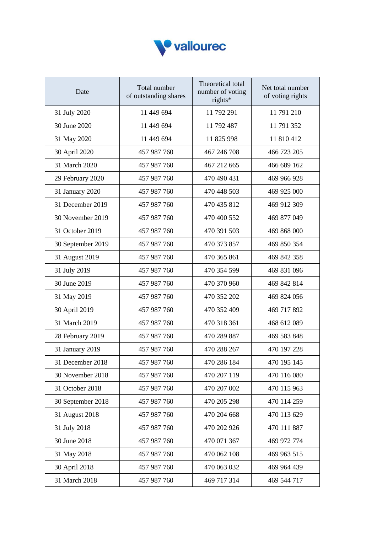

| Date              | Total number<br>of outstanding shares | Theoretical total<br>number of voting<br>rights* | Net total number<br>of voting rights |
|-------------------|---------------------------------------|--------------------------------------------------|--------------------------------------|
| 31 July 2020      | 11 449 694                            | 11 792 291                                       | 11 791 210                           |
| 30 June 2020      | 11 449 694                            | 11 792 487                                       | 11 791 352                           |
| 31 May 2020       | 11 449 694                            | 11 825 998                                       | 11 810 412                           |
| 30 April 2020     | 457 987 760                           | 467 246 708                                      | 466 723 205                          |
| 31 March 2020     | 457 987 760                           | 467 212 665                                      | 466 689 162                          |
| 29 February 2020  | 457 987 760                           | 470 490 431                                      | 469 966 928                          |
| 31 January 2020   | 457 987 760                           | 470 448 503                                      | 469 925 000                          |
| 31 December 2019  | 457 987 760                           | 470 435 812                                      | 469 912 309                          |
| 30 November 2019  | 457 987 760                           | 470 400 552                                      | 469 877 049                          |
| 31 October 2019   | 457 987 760                           | 470 391 503                                      | 469 868 000                          |
| 30 September 2019 | 457 987 760                           | 470 373 857                                      | 469 850 354                          |
| 31 August 2019    | 457 987 760                           | 470 365 861                                      | 469 842 358                          |
| 31 July 2019      | 457 987 760                           | 470 354 599                                      | 469 831 096                          |
| 30 June 2019      | 457 987 760                           | 470 370 960                                      | 469 842 814                          |
| 31 May 2019       | 457 987 760                           | 470 352 202                                      | 469 824 056                          |
| 30 April 2019     | 457 987 760                           | 470 352 409                                      | 469 717 892                          |
| 31 March 2019     | 457 987 760                           | 470 318 361                                      | 468 612 089                          |
| 28 February 2019  | 457 987 760                           | 470 289 887                                      | 469 583 848                          |
| 31 January 2019   | 457 987 760                           | 470 288 267                                      | 470 197 228                          |
| 31 December 2018  | 457 987 760                           | 470 286 184                                      | 470 195 145                          |
| 30 November 2018  | 457 987 760                           | 470 207 119                                      | 470 116 080                          |
| 31 October 2018   | 457 987 760                           | 470 207 002                                      | 470 115 963                          |
| 30 September 2018 | 457 987 760                           | 470 205 298                                      | 470 114 259                          |
| 31 August 2018    | 457 987 760                           | 470 204 668                                      | 470 113 629                          |
| 31 July 2018      | 457 987 760                           | 470 202 926                                      | 470 111 887                          |
| 30 June 2018      | 457 987 760                           | 470 071 367                                      | 469 972 774                          |
| 31 May 2018       | 457 987 760                           | 470 062 108                                      | 469 963 515                          |
| 30 April 2018     | 457 987 760                           | 470 063 032                                      | 469 964 439                          |
| 31 March 2018     | 457 987 760                           | 469 717 314                                      | 469 544 717                          |